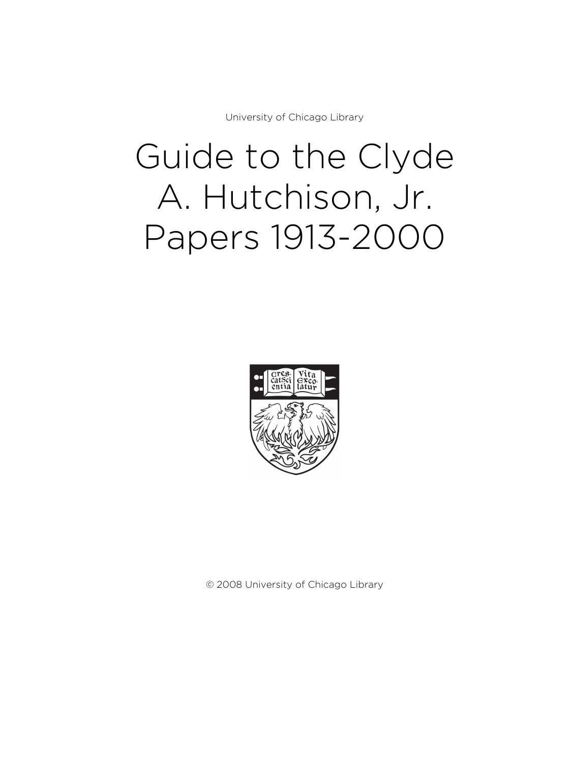University of Chicago Library

# Guide to the Clyde A. Hutchison, Jr. Papers 1913-2000



© 2008 University of Chicago Library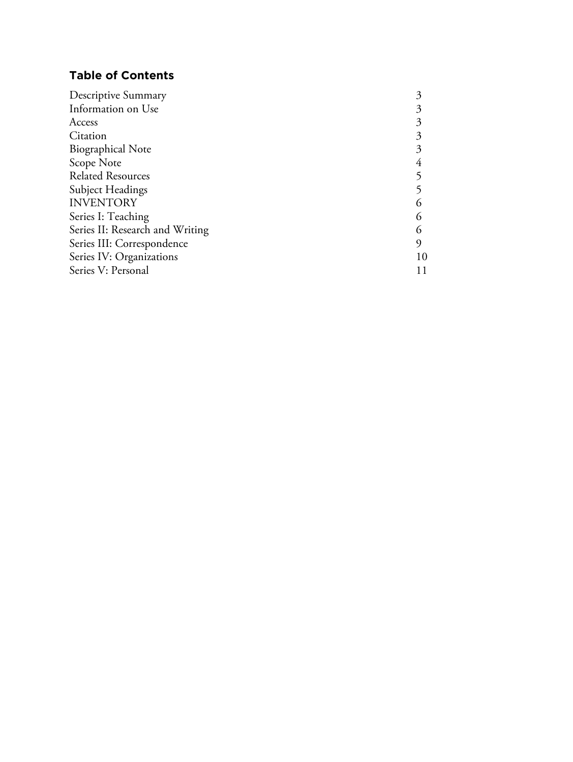# **Table of Contents**

| 10 |
|----|
|    |
|    |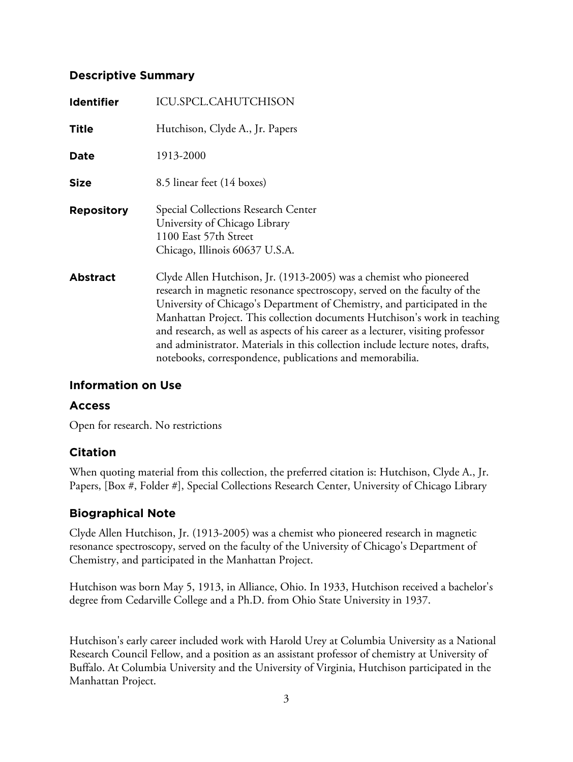# **Descriptive Summary**

| <b>Identifier</b> | ICU.SPCL.CAHUTCHISON                                                                                                                                                                                                                                                                                                                                                                                                                                                                                                                       |
|-------------------|--------------------------------------------------------------------------------------------------------------------------------------------------------------------------------------------------------------------------------------------------------------------------------------------------------------------------------------------------------------------------------------------------------------------------------------------------------------------------------------------------------------------------------------------|
| <b>Title</b>      | Hutchison, Clyde A., Jr. Papers                                                                                                                                                                                                                                                                                                                                                                                                                                                                                                            |
| Date              | 1913-2000                                                                                                                                                                                                                                                                                                                                                                                                                                                                                                                                  |
| <b>Size</b>       | 8.5 linear feet (14 boxes)                                                                                                                                                                                                                                                                                                                                                                                                                                                                                                                 |
| <b>Repository</b> | <b>Special Collections Research Center</b><br>University of Chicago Library<br>1100 East 57th Street<br>Chicago, Illinois 60637 U.S.A.                                                                                                                                                                                                                                                                                                                                                                                                     |
| <b>Abstract</b>   | Clyde Allen Hutchison, Jr. (1913-2005) was a chemist who pioneered<br>research in magnetic resonance spectroscopy, served on the faculty of the<br>University of Chicago's Department of Chemistry, and participated in the<br>Manhattan Project. This collection documents Hutchison's work in teaching<br>and research, as well as aspects of his career as a lecturer, visiting professor<br>and administrator. Materials in this collection include lecture notes, drafts,<br>notebooks, correspondence, publications and memorabilia. |

# **Information on Use**

# **Access**

Open for research. No restrictions

# **Citation**

When quoting material from this collection, the preferred citation is: Hutchison, Clyde A., Jr. Papers, [Box #, Folder #], Special Collections Research Center, University of Chicago Library

# **Biographical Note**

Clyde Allen Hutchison, Jr. (1913-2005) was a chemist who pioneered research in magnetic resonance spectroscopy, served on the faculty of the University of Chicago's Department of Chemistry, and participated in the Manhattan Project.

Hutchison was born May 5, 1913, in Alliance, Ohio. In 1933, Hutchison received a bachelor's degree from Cedarville College and a Ph.D. from Ohio State University in 1937.

Hutchison's early career included work with Harold Urey at Columbia University as a National Research Council Fellow, and a position as an assistant professor of chemistry at University of Buffalo. At Columbia University and the University of Virginia, Hutchison participated in the Manhattan Project.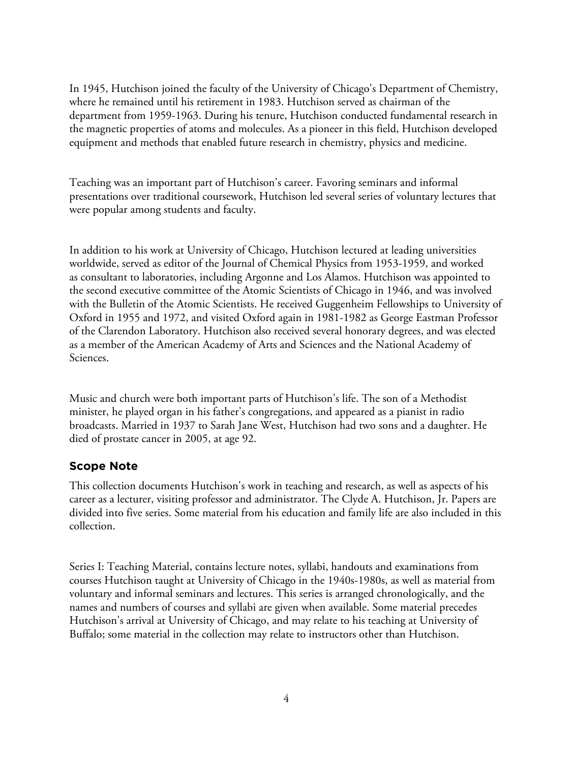In 1945, Hutchison joined the faculty of the University of Chicago's Department of Chemistry, where he remained until his retirement in 1983. Hutchison served as chairman of the department from 1959-1963. During his tenure, Hutchison conducted fundamental research in the magnetic properties of atoms and molecules. As a pioneer in this field, Hutchison developed equipment and methods that enabled future research in chemistry, physics and medicine.

Teaching was an important part of Hutchison's career. Favoring seminars and informal presentations over traditional coursework, Hutchison led several series of voluntary lectures that were popular among students and faculty.

In addition to his work at University of Chicago, Hutchison lectured at leading universities worldwide, served as editor of the Journal of Chemical Physics from 1953-1959, and worked as consultant to laboratories, including Argonne and Los Alamos. Hutchison was appointed to the second executive committee of the Atomic Scientists of Chicago in 1946, and was involved with the Bulletin of the Atomic Scientists. He received Guggenheim Fellowships to University of Oxford in 1955 and 1972, and visited Oxford again in 1981-1982 as George Eastman Professor of the Clarendon Laboratory. Hutchison also received several honorary degrees, and was elected as a member of the American Academy of Arts and Sciences and the National Academy of Sciences.

Music and church were both important parts of Hutchison's life. The son of a Methodist minister, he played organ in his father's congregations, and appeared as a pianist in radio broadcasts. Married in 1937 to Sarah Jane West, Hutchison had two sons and a daughter. He died of prostate cancer in 2005, at age 92.

# **Scope Note**

This collection documents Hutchison's work in teaching and research, as well as aspects of his career as a lecturer, visiting professor and administrator. The Clyde A. Hutchison, Jr. Papers are divided into five series. Some material from his education and family life are also included in this collection.

Series I: Teaching Material, contains lecture notes, syllabi, handouts and examinations from courses Hutchison taught at University of Chicago in the 1940s-1980s, as well as material from voluntary and informal seminars and lectures. This series is arranged chronologically, and the names and numbers of courses and syllabi are given when available. Some material precedes Hutchison's arrival at University of Chicago, and may relate to his teaching at University of Buffalo; some material in the collection may relate to instructors other than Hutchison.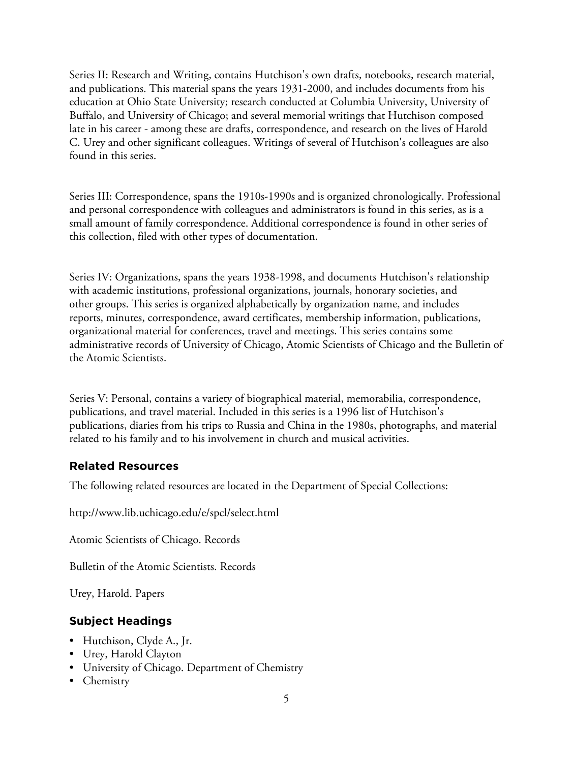Series II: Research and Writing, contains Hutchison's own drafts, notebooks, research material, and publications. This material spans the years 1931-2000, and includes documents from his education at Ohio State University; research conducted at Columbia University, University of Buffalo, and University of Chicago; and several memorial writings that Hutchison composed late in his career - among these are drafts, correspondence, and research on the lives of Harold C. Urey and other significant colleagues. Writings of several of Hutchison's colleagues are also found in this series.

Series III: Correspondence, spans the 1910s-1990s and is organized chronologically. Professional and personal correspondence with colleagues and administrators is found in this series, as is a small amount of family correspondence. Additional correspondence is found in other series of this collection, filed with other types of documentation.

Series IV: Organizations, spans the years 1938-1998, and documents Hutchison's relationship with academic institutions, professional organizations, journals, honorary societies, and other groups. This series is organized alphabetically by organization name, and includes reports, minutes, correspondence, award certificates, membership information, publications, organizational material for conferences, travel and meetings. This series contains some administrative records of University of Chicago, Atomic Scientists of Chicago and the Bulletin of the Atomic Scientists.

Series V: Personal, contains a variety of biographical material, memorabilia, correspondence, publications, and travel material. Included in this series is a 1996 list of Hutchison's publications, diaries from his trips to Russia and China in the 1980s, photographs, and material related to his family and to his involvement in church and musical activities.

# **Related Resources**

The following related resources are located in the Department of Special Collections:

http://www.lib.uchicago.edu/e/spcl/select.html

Atomic Scientists of Chicago. Records

Bulletin of the Atomic Scientists. Records

Urey, Harold. Papers

# **Subject Headings**

- Hutchison, Clyde A., Jr.
- Urey, Harold Clayton
- University of Chicago. Department of Chemistry
- Chemistry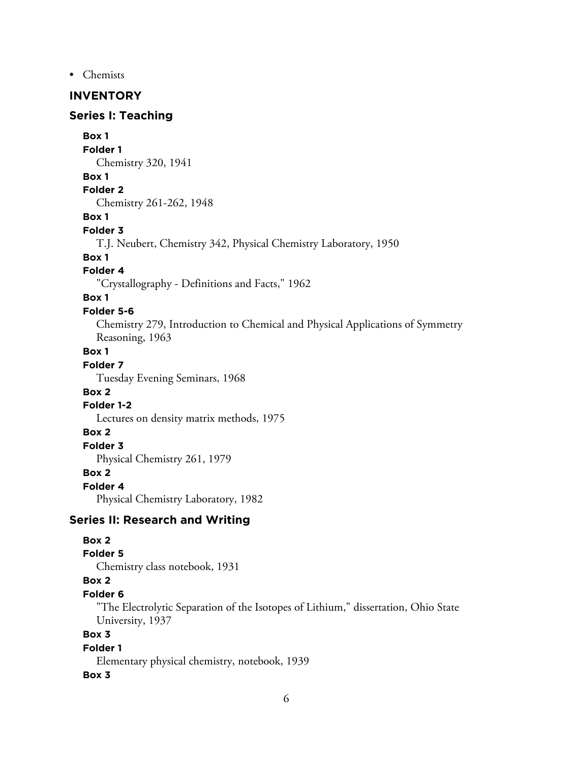• Chemists

# **INVENTORY**

# **Series I: Teaching**

**Box 1**

**Folder 1**

Chemistry 320, 1941

#### **Box 1**

**Folder 2** Chemistry 261-262, 1948

# **Box 1**

**Folder 3**

T.J. Neubert, Chemistry 342, Physical Chemistry Laboratory, 1950

#### **Box 1**

#### **Folder 4**

"Crystallography - Definitions and Facts," 1962

#### **Box 1**

#### **Folder 5-6**

Chemistry 279, Introduction to Chemical and Physical Applications of Symmetry Reasoning, 1963

# **Box 1**

# **Folder 7**

Tuesday Evening Seminars, 1968

# **Box 2**

#### **Folder 1-2**

Lectures on density matrix methods, 1975

#### **Box 2**

**Folder 3**

Physical Chemistry 261, 1979

#### **Box 2**

#### **Folder 4**

Physical Chemistry Laboratory, 1982

# **Series II: Research and Writing**

# **Box 2**

#### **Folder 5**

Chemistry class notebook, 1931

# **Box 2**

# **Folder 6**

"The Electrolytic Separation of the Isotopes of Lithium," dissertation, Ohio State University, 1937

# **Box 3**

#### **Folder 1**

Elementary physical chemistry, notebook, 1939

#### **Box 3**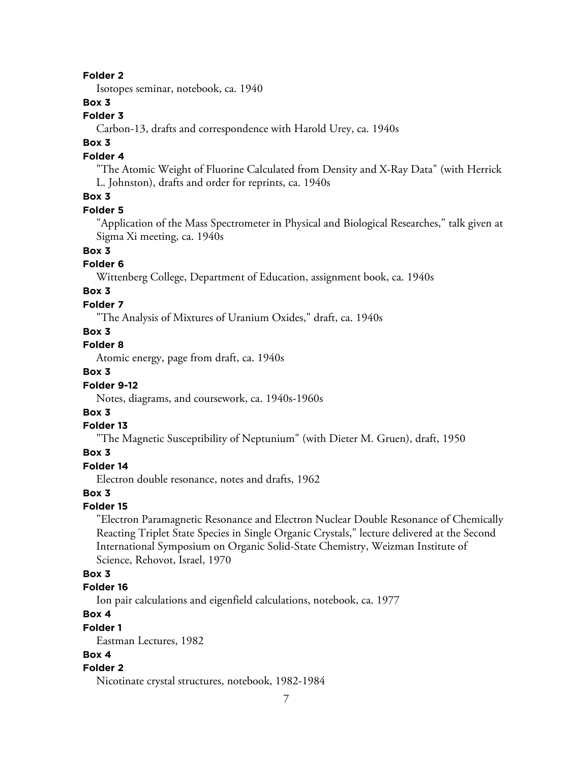#### **Folder 2**

Isotopes seminar, notebook, ca. 1940

## **Box 3**

#### **Folder 3**

Carbon-13, drafts and correspondence with Harold Urey, ca. 1940s

# **Box 3**

## **Folder 4**

"The Atomic Weight of Fluorine Calculated from Density and X-Ray Data" (with Herrick L. Johnston), drafts and order for reprints, ca. 1940s

# **Box 3**

#### **Folder 5**

"Application of the Mass Spectrometer in Physical and Biological Researches," talk given at Sigma Xi meeting, ca. 1940s

# **Box 3**

# **Folder 6**

Wittenberg College, Department of Education, assignment book, ca. 1940s

# **Box 3**

#### **Folder 7**

"The Analysis of Mixtures of Uranium Oxides," draft, ca. 1940s

#### **Box 3**

# **Folder 8**

Atomic energy, page from draft, ca. 1940s

# **Box 3**

## **Folder 9-12**

Notes, diagrams, and coursework, ca. 1940s-1960s

## **Box 3**

#### **Folder 13**

"The Magnetic Susceptibility of Neptunium" (with Dieter M. Gruen), draft, 1950

#### **Box 3**

## **Folder 14**

Electron double resonance, notes and drafts, 1962

## **Box 3**

#### **Folder 15**

"Electron Paramagnetic Resonance and Electron Nuclear Double Resonance of Chemically Reacting Triplet State Species in Single Organic Crystals," lecture delivered at the Second International Symposium on Organic Solid-State Chemistry, Weizman Institute of Science, Rehovot, Israel, 1970

## **Box 3**

# **Folder 16**

Ion pair calculations and eigenfield calculations, notebook, ca. 1977

# **Box 4**

#### **Folder 1**

Eastman Lectures, 1982

#### **Box 4**

#### **Folder 2**

Nicotinate crystal structures, notebook, 1982-1984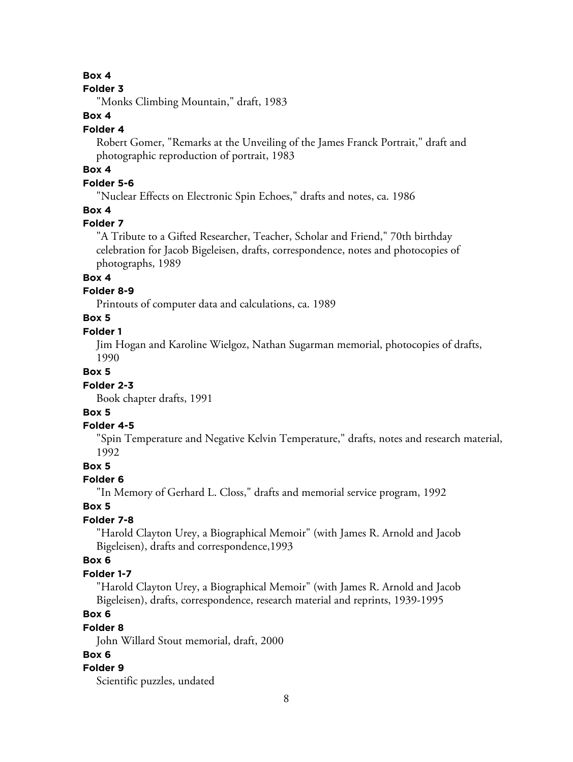#### **Box 4**

#### **Folder 3**

"Monks Climbing Mountain," draft, 1983

# **Box 4**

# **Folder 4**

Robert Gomer, "Remarks at the Unveiling of the James Franck Portrait," draft and photographic reproduction of portrait, 1983

# **Box 4**

# **Folder 5-6**

"Nuclear Effects on Electronic Spin Echoes," drafts and notes, ca. 1986

## **Box 4**

# **Folder 7**

"A Tribute to a Gifted Researcher, Teacher, Scholar and Friend," 70th birthday celebration for Jacob Bigeleisen, drafts, correspondence, notes and photocopies of photographs, 1989

# **Box 4**

# **Folder 8-9**

Printouts of computer data and calculations, ca. 1989

# **Box 5**

## **Folder 1**

Jim Hogan and Karoline Wielgoz, Nathan Sugarman memorial, photocopies of drafts, 1990

## **Box 5**

# **Folder 2-3**

Book chapter drafts, 1991

# **Box 5**

## **Folder 4-5**

"Spin Temperature and Negative Kelvin Temperature," drafts, notes and research material, 1992

## **Box 5**

# **Folder 6**

"In Memory of Gerhard L. Closs," drafts and memorial service program, 1992

## **Box 5**

# **Folder 7-8**

"Harold Clayton Urey, a Biographical Memoir" (with James R. Arnold and Jacob Bigeleisen), drafts and correspondence,1993

# **Box 6**

# **Folder 1-7**

"Harold Clayton Urey, a Biographical Memoir" (with James R. Arnold and Jacob Bigeleisen), drafts, correspondence, research material and reprints, 1939-1995

# **Box 6**

# **Folder 8**

John Willard Stout memorial, draft, 2000

# **Box 6**

## **Folder 9**

Scientific puzzles, undated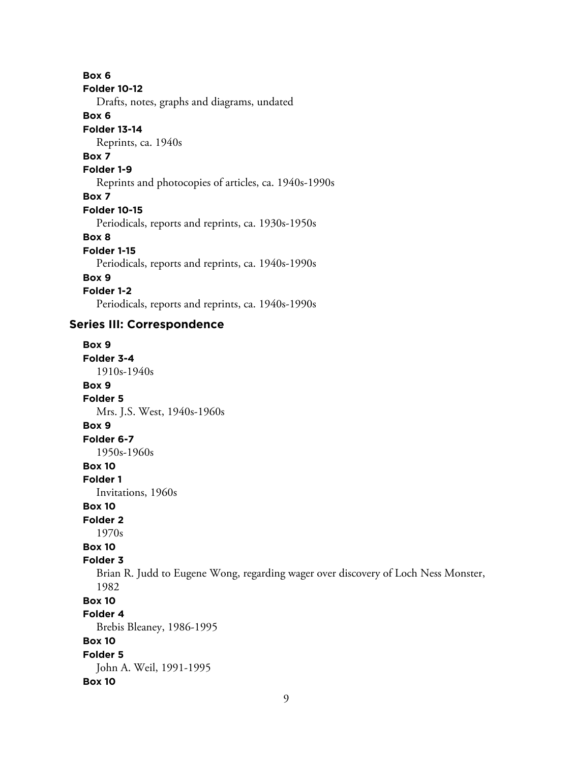**Box 6 Folder 10-12** Drafts, notes, graphs and diagrams, undated **Box 6 Folder 13-14** Reprints, ca. 1940s **Box 7 Folder 1-9** Reprints and photocopies of articles, ca. 1940s-1990s **Box 7 Folder 10-15** Periodicals, reports and reprints, ca. 1930s-1950s **Box 8 Folder 1-15**

Periodicals, reports and reprints, ca. 1940s-1990s

#### **Box 9**

**Folder 1-2**

Periodicals, reports and reprints, ca. 1940s-1990s

# **Series III: Correspondence**

**Box 9 Folder 3-4** 1910s-1940s **Box 9 Folder 5** Mrs. J.S. West, 1940s-1960s **Box 9 Folder 6-7** 1950s-1960s **Box 10 Folder 1** Invitations, 1960s **Box 10 Folder 2** 1970s **Box 10 Folder 3** Brian R. Judd to Eugene Wong, regarding wager over discovery of Loch Ness Monster, 1982 **Box 10 Folder 4** Brebis Bleaney, 1986-1995 **Box 10 Folder 5** John A. Weil, 1991-1995 **Box 10**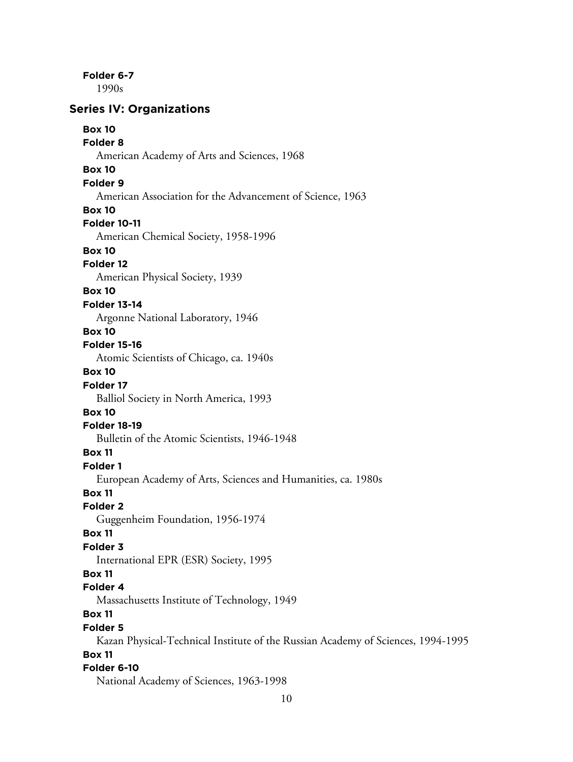**Folder 6-7**

1990s

# **Series IV: Organizations**

| <b>Box 10</b>                                                                    |
|----------------------------------------------------------------------------------|
| Folder <sub>8</sub>                                                              |
| American Academy of Arts and Sciences, 1968<br><b>Box 10</b>                     |
| Folder <sub>9</sub>                                                              |
| American Association for the Advancement of Science, 1963                        |
| <b>Box 10</b>                                                                    |
| <b>Folder 10-11</b>                                                              |
| American Chemical Society, 1958-1996                                             |
| <b>Box 10</b>                                                                    |
| Folder <sub>12</sub>                                                             |
| American Physical Society, 1939                                                  |
| <b>Box 10</b>                                                                    |
| <b>Folder 13-14</b>                                                              |
| Argonne National Laboratory, 1946                                                |
| <b>Box 10</b>                                                                    |
| <b>Folder 15-16</b>                                                              |
| Atomic Scientists of Chicago, ca. 1940s                                          |
| <b>Box 10</b>                                                                    |
| Folder 17                                                                        |
| Balliol Society in North America, 1993                                           |
| <b>Box 10</b>                                                                    |
| <b>Folder 18-19</b>                                                              |
| Bulletin of the Atomic Scientists, 1946-1948                                     |
| <b>Box 11</b>                                                                    |
| Folder 1                                                                         |
| European Academy of Arts, Sciences and Humanities, ca. 1980s                     |
| <b>Box 11</b>                                                                    |
| <b>Folder 2</b>                                                                  |
| Guggenheim Foundation, 1956-1974                                                 |
| <b>Box 11</b>                                                                    |
| <b>Folder 3</b>                                                                  |
| International EPR (ESR) Society, 1995                                            |
| <b>Box 11</b>                                                                    |
| Folder 4                                                                         |
| Massachusetts Institute of Technology, 1949                                      |
| <b>Box 11</b><br><b>Folder 5</b>                                                 |
| Kazan Physical-Technical Institute of the Russian Academy of Sciences, 1994-1995 |
| <b>Box 11</b>                                                                    |
| Folder 6-10                                                                      |
| National Academy of Sciences, 1963-1998                                          |
|                                                                                  |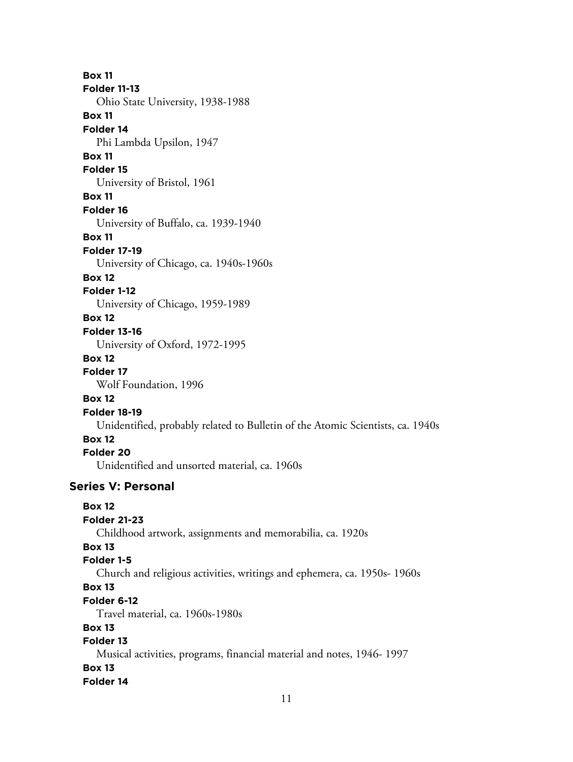**Box 11 Folder 11-13** Ohio State University, 1938-1988 **Box 11 Folder 14** Phi Lambda Upsilon, 1947 **Box 11 Folder 15** University of Bristol, 1961 **Box 11 Folder 16** University of Buffalo, ca. 1939-1940 **Box 11 Folder 17-19** University of Chicago, ca. 1940s-1960s **Box 12 Folder 1-12** University of Chicago, 1959-1989 **Box 12 Folder 13-16** University of Oxford, 1972-1995 **Box 12 Folder 17** Wolf Foundation, 1996 **Box 12 Folder 18-19** Unidentified, probably related to Bulletin of the Atomic Scientists, ca. 1940s **Box 12 Folder 20** Unidentified and unsorted material, ca. 1960s **Series V: Personal Box 12 Folder 21-23** Childhood artwork, assignments and memorabilia, ca. 1920s **Box 13 Folder 1-5** Church and religious activities, writings and ephemera, ca. 1950s- 1960s **Box 13 Folder 6-12** Travel material, ca. 1960s-1980s **Box 13 Folder 13** Musical activities, programs, financial material and notes, 1946- 1997 **Box 13 Folder 14**